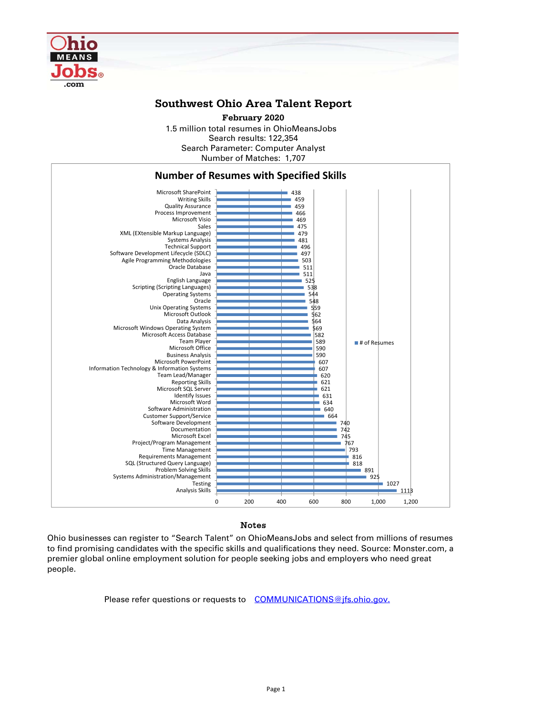

## **Southwest Ohio Area Talent Report**

1.5 million total resumes in OhioMeansJobs Search results: 122,354 Number of Matches: 1,707 Search Parameter: Computer Analyst **February 2020**



## Notes

Ohio businesses can register to "Search Talent" on OhioMeansJobs and select from millions of resumes to find promising candidates with the specific skills and qualifications they need. Source: Monster.com, a premier global online employment solution for people seeking jobs and employers who need great people.

Please refer questions or requests to COMMUNICATIONS@jfs.ohio.gov.